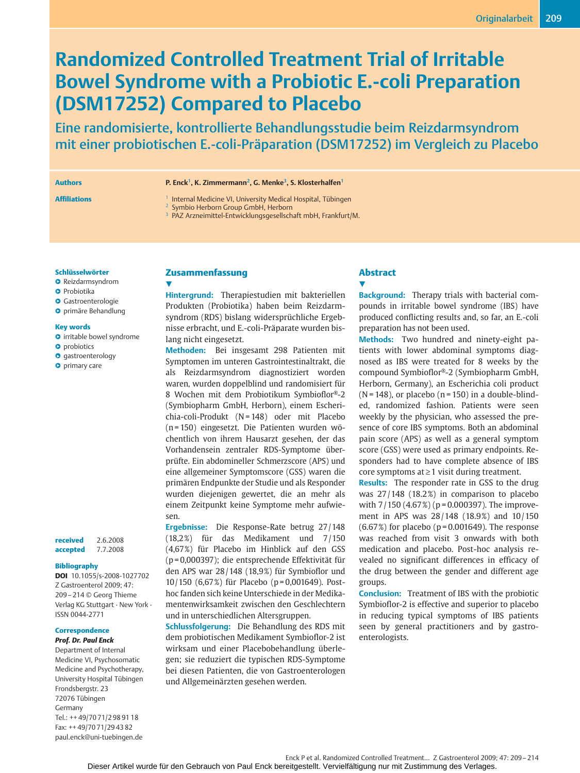# **Randomized Controlled Treatment Trial of Irritable Bowel Syndrome with a Probiotic E.-coli Preparation (DSM17252) Compared to Placebo**

Eine randomisierte, kontrollierte Behandlungsstudie beim Reizdarmsyndrom mit einer probiotischen E.-coli-Präparation (DSM17252) im Vergleich zu Placebo

#### **Authors P. Enck1, K. Zimmermann2, G. Menke3, S. Klosterhalfen1**

## **Affiliations** 1 Internal Medicine VI, University Medical Hospital, Tübingen

<sup>2</sup> Symbio Herborn Group GmbH, Herborn

<sup>3</sup> PAZ Arzneimittel-Entwicklungsgesellschaft mbH, Frankfurt/M.

#### **Schlüsselwörter**

- **O** Reizdarmsyndrom
- **O** Probiotika
- **O** Gastroenterologie
- " primäre Behandlung

### **Key words**

- **O** irritable bowel syndrome
- **O** probiotics
- **O** gastroenterology
- **O** primary care

| received | 2.6.2008 |
|----------|----------|
| accepted | 7.7.2008 |

#### **Bibliography**

**DOI** 10.1055/s-2008-1027702 Z Gastroenterol 2009; 47: 209– 214 © Georg Thieme Verlag KG Stuttgart · New York · ISSN 0044-2771

### **Correspondence**

*Prof. Dr. Paul Enck* Department of Internal Medicine VI, Psychosomatic Medicine and Psychotherapy, University Hospital Tübingen Frondsbergstr. 23 72076 Tübingen Germany Tel.: ++ 49/70 71/2 98 91 18 Fax: ++ 49/70 71/29 43 82 paul.enck@uni-tuebingen.de

## **Zusammenfassung**  $\overline{\mathbf{v}}$

**Hintergrund:** Therapiestudien mit bakteriellen Produkten (Probiotika) haben beim Reizdarmsyndrom (RDS) bislang widersprüchliche Ergebnisse erbracht, und E.-coli-Präparate wurden bislang nicht eingesetzt.

**Methoden:** Bei insgesamt 298 Patienten mit Symptomen im unteren Gastrointestinaltrakt, die als Reizdarmsyndrom diagnostiziert worden waren, wurden doppelblind und randomisiert für 8 Wochen mit dem Probiotikum Symbioflor®-2 (Symbiopharm GmbH, Herborn), einem Escherichia-coli-Produkt (N = 148) oder mit Placebo (n = 150) eingesetzt. Die Patienten wurden wöchentlich von ihrem Hausarzt gesehen, der das Vorhandensein zentraler RDS-Symptome überprüfte. Ein abdomineller Schmerzscore (APS) und eine allgemeiner Symptomscore (GSS) waren die primären Endpunkte der Studie und als Responder wurden diejenigen gewertet, die an mehr als einem Zeitpunkt keine Symptome mehr aufwiesen.

**Ergebnisse:** Die Response-Rate betrug 27 /148 (18,2%) für das Medikament und 7/150 (4,67%) für Placebo im Hinblick auf den GSS (p = 0,000397); die entsprechende Effektivität für den APS war 28 /148 (18,9%) für Symbioflor und 10 /150 (6,67%) für Placebo (p = 0,001649). Posthoc fanden sich keine Unterschiede in der Medikamentenwirksamkeit zwischen den Geschlechtern und in unterschiedlichen Altersgruppen.

**Schlussfolgerung:** Die Behandlung des RDS mit dem probiotischen Medikament Symbioflor-2 ist wirksam und einer Placebobehandlung überlegen; sie reduziert die typischen RDS-Symptome bei diesen Patienten, die von Gastroenterologen und Allgemeinärzten gesehen werden.

## **Abstract v**

**Background:** Therapy trials with bacterial compounds in irritable bowel syndrome (IBS) have produced conflicting results and, so far, an E.-coli preparation has not been used.

**Methods:** Two hundred and ninety-eight patients with lower abdominal symptoms diagnosed as IBS were treated for 8 weeks by the compound Symbioflor®-2 (Symbiopharm GmbH, Herborn, Germany), an Escherichia coli product  $(N = 148)$ , or placebo  $(n = 150)$  in a double-blinded, randomized fashion. Patients were seen weekly by the physician, who assessed the presence of core IBS symptoms. Both an abdominal pain score (APS) as well as a general symptom score (GSS) were used as primary endpoints. Responders had to have complete absence of IBS core symptoms at ≥ 1 visit during treatment.

**Results:** The responder rate in GSS to the drug was  $27/148$  (18.2%) in comparison to placebo with  $7/150$  (4.67%) (p = 0.000397). The improvement in APS was  $28/148$  (18.9%) and  $10/150$  $(6.67%)$  for placebo (p=0.001649). The response was reached from visit 3 onwards with both medication and placebo. Post-hoc analysis revealed no significant differences in efficacy of the drug between the gender and different age groups.

**Conclusion:** Treatment of IBS with the probiotic Symbioflor-2 is effective and superior to placebo in reducing typical symptoms of IBS patients seen by general practitioners and by gastroenterologists.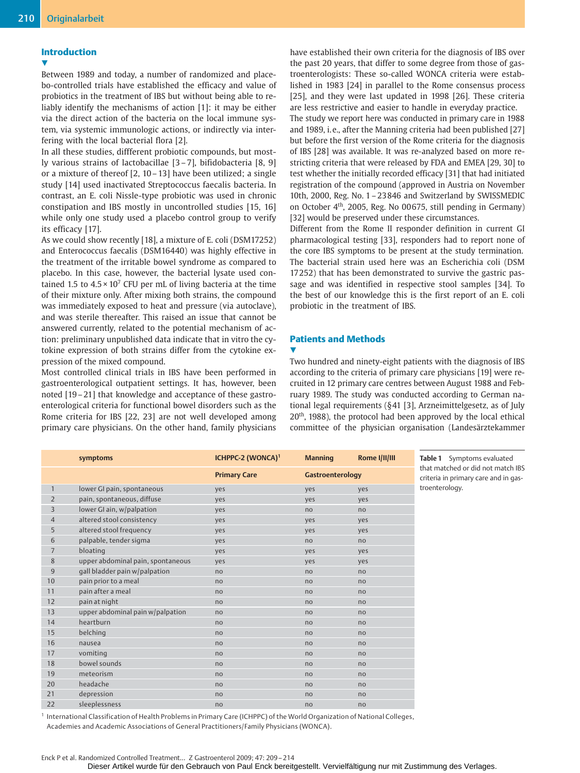## **Introduction**

 $\overline{\mathbf{v}}$ 

Between 1989 and today, a number of randomized and placebo-controlled trials have established the efficacy and value of probiotics in the treatment of IBS but without being able to reliably identify the mechanisms of action [1]: it may be either via the direct action of the bacteria on the local immune system, via systemic immunologic actions, or indirectly via interfering with the local bacterial flora [2].

In all these studies, diffferent probiotic compounds, but mostly various strains of lactobacillae [3 – 7], bifidobacteria [8, 9] or a mixture of thereof [2, 10 – 13] have been utilized; a single study [14] used inactivated Streptococcus faecalis bacteria. In contrast, an E. coli Nissle-type probiotic was used in chronic constipation and IBS mostly in uncontrolled studies [15, 16] while only one study used a placebo control group to verify its efficacy [17].

As we could show recently [18], a mixture of E. coli (DSM17252) and Enterococcus faecalis (DSM16440) was highly effective in the treatment of the irritable bowel syndrome as compared to placebo. In this case, however, the bacterial lysate used contained 1.5 to  $4.5 \times 10^7$  CFU per mL of living bacteria at the time of their mixture only. After mixing both strains, the compound was immediately exposed to heat and pressure (via autoclave), and was sterile thereafter. This raised an issue that cannot be answered currently, related to the potential mechanism of action: preliminary unpublished data indicate that in vitro the cytokine expression of both strains differ from the cytokine expression of the mixed compound.

Most controlled clinical trials in IBS have been performed in gastroenterological outpatient settings. It has, however, been noted [19 – 21] that knowledge and acceptance of these gastroenterological criteria for functional bowel disorders such as the Rome criteria for IBS [22, 23] are not well developed among primary care physicians. On the other hand, family physicians have established their own criteria for the diagnosis of IBS over the past 20 years, that differ to some degree from those of gastroenterologists: These so-called WONCA criteria were established in 1983 [24] in parallel to the Rome consensus process [25], and they were last updated in 1998 [26]. These criteria are less restrictive and easier to handle in everyday practice. The study we report here was conducted in primary care in 1988 and 1989, i.e., after the Manning criteria had been published [27] but before the first version of the Rome criteria for the diagnosis of IBS [28] was available. It was re-analyzed based on more restricting criteria that were released by FDA and EMEA [29, 30] to test whether the initially recorded efficacy [31] that had initiated registration of the compound (approved in Austria on November 10th, 2000, Reg. No. 1 – 23846 and Switzerland by SWISSMEDIC on October 4th, 2005, Reg. No 00675, still pending in Germany) [32] would be preserved under these circumstances.

Different from the Rome II responder definition in current GI pharmacological testing [33], responders had to report none of the core IBS symptoms to be present at the study termination. The bacterial strain used here was an Escherichia coli (DSM 17252) that has been demonstrated to survive the gastric passage and was identified in respective stool samples [34]. To the best of our knowledge this is the first report of an E. coli probiotic in the treatment of IBS.

# **Patients and Methods**

#### **v**

Two hundred and ninety-eight patients with the diagnosis of IBS according to the criteria of primary care physicians [19] were recruited in 12 primary care centres between August 1988 and February 1989. The study was conducted according to German national legal requirements (§41 [3], Arzneimittelgesetz, as of July 20<sup>th</sup>, 1988), the protocol had been approved by the local ethical committee of the physician organisation (Landesärztekammer

|                | symptoms                          | ICHPPC-2 (WONCA) <sup>1</sup> | <b>Manning</b>   | Rome I/II/III  | Table 1 Symptoms evaluated                                                |
|----------------|-----------------------------------|-------------------------------|------------------|----------------|---------------------------------------------------------------------------|
|                |                                   | <b>Primary Care</b>           | Gastroenterology |                | that matched or did not match IBS<br>criteria in primary care and in gas- |
| $\mathbf{1}$   | lower GI pain, spontaneous        | yes                           | yes              | yes            | troenterology.                                                            |
| $\overline{2}$ | pain, spontaneous, diffuse        | yes                           | yes              | yes            |                                                                           |
| 3              | lower GI ain, w/palpation         | yes                           | no               | no             |                                                                           |
| $\overline{4}$ | altered stool consistency         | yes                           | yes              | yes            |                                                                           |
| 5              | altered stool frequency           | yes                           | yes              | yes            |                                                                           |
| 6              | palpable, tender sigma            | yes                           | no               | no             |                                                                           |
| $\overline{7}$ | bloating                          | yes                           | yes              | yes            |                                                                           |
| 8              | upper abdominal pain, spontaneous | yes                           | yes              | yes            |                                                                           |
| $9\,$          | gall bladder pain w/palpation     | no                            | no               | no             |                                                                           |
| 10             | pain prior to a meal              | no                            | no               | no             |                                                                           |
| 11             | pain after a meal                 | no                            | no               | no             |                                                                           |
| 12             | pain at night                     | no                            | no               | n <sub>o</sub> |                                                                           |
| 13             | upper abdominal pain w/palpation  | no                            | no               | no             |                                                                           |
| 14             | heartburn                         | no                            | no               | no             |                                                                           |
| 15             | belching                          | no                            | no               | no             |                                                                           |
| 16             | nausea                            | no                            | no               | no             |                                                                           |
| 17             | vomiting                          | no                            | no               | no             |                                                                           |
| 18             | bowel sounds                      | no                            | no               | no             |                                                                           |
| 19             | meteorism                         | no                            | no               | no             |                                                                           |
| 20             | headache                          | no                            | no               | n <sub>o</sub> |                                                                           |
| 21             | depression                        | no                            | no               | no             |                                                                           |
| 22             | sleeplessness                     | no                            | no               | no             |                                                                           |
|                |                                   |                               |                  |                |                                                                           |

<sup>1</sup> International Classification of Health Problems in Primary Care (ICHPPC) of the World Organization of National Colleges, Academies and Academic Associations of General Practitioners/Family Physicians (WONCA).

Dieser Artikel wurde für den Gebrauch von Paul Enck bereitgestellt. Vervielfältigung nur mit Zustimmung des Verlages.

Enck P et al. Randomized Controlled Treatment… Z Gastroenterol 2009; 47: 209– 214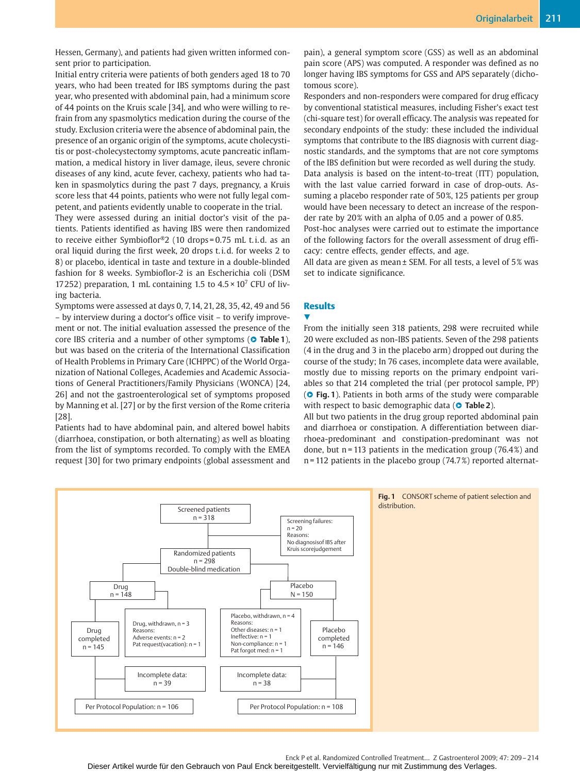Hessen, Germany), and patients had given written informed consent prior to participation.

Initial entry criteria were patients of both genders aged 18 to 70 years, who had been treated for IBS symptoms during the past year, who presented with abdominal pain, had a minimum score of 44 points on the Kruis scale [34], and who were willing to refrain from any spasmolytics medication during the course of the study. Exclusion criteria were the absence of abdominal pain, the presence of an organic origin of the symptoms, acute cholecystitis or post-cholecystectomy symptoms, acute pancreatic inflammation, a medical history in liver damage, ileus, severe chronic diseases of any kind, acute fever, cachexy, patients who had taken in spasmolytics during the past 7 days, pregnancy, a Kruis score less that 44 points, patients who were not fully legal competent, and patients evidently unable to cooperate in the trial.

They were assessed during an initial doctor's visit of the patients. Patients identified as having IBS were then randomized to receive either Symbioflor®2 (10 drops = 0.75 mL t. i. d. as an oral liquid during the first week, 20 drops t. i. d. for weeks 2 to 8) or placebo, identical in taste and texture in a double-blinded fashion for 8 weeks. Symbioflor-2 is an Escherichia coli (DSM 17252) preparation, 1 mL containing 1.5 to  $4.5 \times 10^7$  CFU of living bacteria.

Symptoms were assessed at days 0, 7, 14, 21, 28, 35, 42, 49 and 56 – by interview during a doctor's office visit – to verify improvement or not. The initial evaluation assessed the presence of the core IBS criteria and a number of other symptoms (**O** Table 1), but was based on the criteria of the International Classification of Health Problems in Primary Care (ICHPPC) of the World Organization of National Colleges, Academies and Academic Associations of General Practitioners/Family Physicians (WONCA) [24, 26] and not the gastroenterological set of symptoms proposed by Manning et al. [27] or by the first version of the Rome criteria [28].

Patients had to have abdominal pain, and altered bowel habits (diarrhoea, constipation, or both alternating) as well as bloating from the list of symptoms recorded. To comply with the EMEA request [30] for two primary endpoints (global assessment and pain), a general symptom score (GSS) as well as an abdominal pain score (APS) was computed. A responder was defined as no longer having IBS symptoms for GSS and APS separately (dichotomous score).

Responders and non-responders were compared for drug efficacy by conventional statistical measures, including Fisher's exact test (chi-square test) for overall efficacy. The analysis was repeated for secondary endpoints of the study: these included the individual symptoms that contribute to the IBS diagnosis with current diagnostic standards, and the symptoms that are not core symptoms of the IBS definition but were recorded as well during the study. Data analysis is based on the intent-to-treat (ITT) population, with the last value carried forward in case of drop-outs. Assuming a placebo responder rate of 50%, 125 patients per group would have been necessary to detect an increase of the responder rate by 20% with an alpha of 0.05 and a power of 0.85. Post-hoc analyses were carried out to estimate the importance

of the following factors for the overall assessment of drug efficacy: centre effects, gender effects, and age.

All data are given as mean ± SEM. For all tests, a level of 5% was set to indicate significance.

# **Results**

**V** 

From the initially seen 318 patients, 298 were recruited while 20 were excluded as non-IBS patients. Seven of the 298 patients (4 in the drug and 3 in the placebo arm) dropped out during the course of the study; In 76 cases, incomplete data were available, mostly due to missing reports on the primary endpoint variables so that 214 completed the trial (per protocol sample, PP) ( $\circ$  Fig. 1). Patients in both arms of the study were comparable with respect to basic demographic data (<sup>o</sup> Table 2).

All but two patients in the drug group reported abdominal pain and diarrhoea or constipation. A differentiation between diarrhoea-predominant and constipation-predominant was not done, but  $n = 113$  patients in the medication group (76.4%) and n = 112 patients in the placebo group (74.7%) reported alternat-



Enck P et al. Randomized Controlled Treatment… Z Gastroenterol 2009; 47: 209– 214 Dieser Artikel wurde für den Gebrauch von Paul Enck bereitgestellt. Vervielfältigung nur mit Zustimmung des Verlages.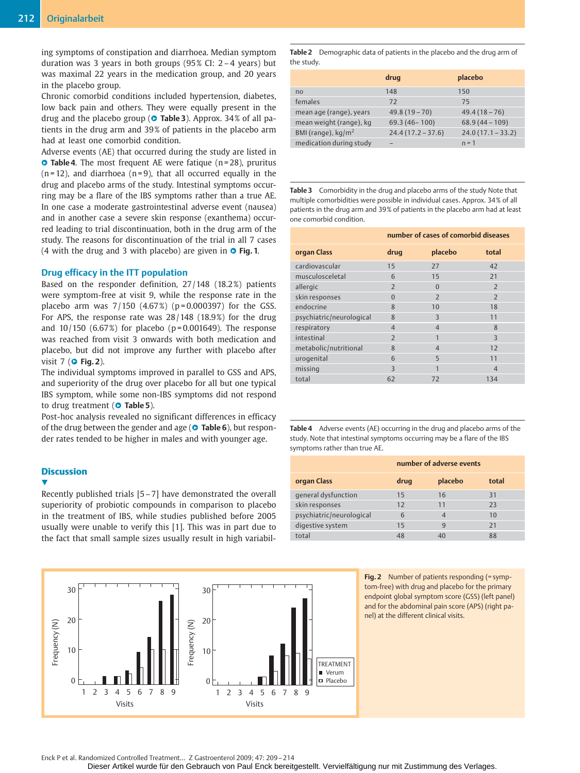ing symptoms of constipation and diarrhoea. Median symptom duration was 3 years in both groups (95% CI: 2 – 4 years) but was maximal 22 years in the medication group, and 20 years in the placebo group.

Chronic comorbid conditions included hypertension, diabetes, low back pain and others. They were equally present in the drug and the placebo group (**O Table 3**). Approx. 34% of all patients in the drug arm and 39% of patients in the placebo arm had at least one comorbid condition.

Adverse events (AE) that occurred during the study are listed in **• Table 4**. The most frequent AE were fatique (n = 28), pruritus  $(n=12)$ , and diarrhoea  $(n=9)$ , that all occurred equally in the drug and placebo arms of the study. Intestinal symptoms occurring may be a flare of the IBS symptoms rather than a true AE. In one case a moderate gastrointestinal adverse event (nausea) and in another case a severe skin response (exanthema) occurred leading to trial discontinuation, both in the drug arm of the study. The reasons for discontinuation of the trial in all 7 cases (4 with the drug and 3 with placebo) are given in **O Fig. 1**.

## **Drug efficacy in the ITT population**

Based on the responder definition, 27 /148 (18.2%) patients were symptom-free at visit 9, while the response rate in the placebo arm was  $7/150$   $(4.67%)$   $(p=0.000397)$  for the GSS. For APS, the response rate was  $28/148$  (18.9%) for the drug and  $10/150$  (6.67%) for placebo (p=0.001649). The response was reached from visit 3 onwards with both medication and placebo, but did not improve any further with placebo after visit 7 (**O Fig. 2**).

The individual symptoms improved in parallel to GSS and APS, and superiority of the drug over placebo for all but one typical IBS symptom, while some non-IBS symptoms did not respond to drug treatment (**O** Table 5).

Post-hoc analysis revealed no significant differences in efficacy of the drug between the gender and age (<sup>o</sup> Table 6), but responder rates tended to be higher in males and with younger age.

# **Discussion**

 $\overline{\mathbf{v}}$ 

Recently published trials [5 – 7] have demonstrated the overall superiority of probiotic compounds in comparison to placebo in the treatment of IBS, while studies published before 2005 usually were unable to verify this [1]. This was in part due to the fact that small sample sizes usually result in high variabil-

30 30 20 20 Frequency (N) Frequency (N) requency (N) Frequency (N) 10 10 TREATMENT Verum Placebo  $0<sup>+</sup>$  $\Omega$ 123456789 123456789 Visits Visits

**Table 2** Demographic data of patients in the placebo and the drug arm of the study.

|                              | drug                | placebo             |
|------------------------------|---------------------|---------------------|
| n <sub>0</sub>               | 148                 | 150                 |
| females                      | 72                  | 75                  |
| mean age (range), years      | $49.8(19 - 70)$     | $49.4(18-76)$       |
| mean weight (range), kg      | $69.3(46 - 100)$    | $68.9(44 - 109)$    |
| BMI (range), $\text{kg/m}^2$ | $24.4(17.2 - 37.6)$ | $24.0(17.1 - 33.2)$ |
| medication during study      |                     | $n = 1$             |

**Table 3** Comorbidity in the drug and placebo arms of the study Note that multiple comorbidities were possible in individual cases. Approx. 34% of all patients in the drug arm and 39% of patients in the placebo arm had at least one comorbid condition.

|                          | number of cases of comorbid diseases |                |                |  |
|--------------------------|--------------------------------------|----------------|----------------|--|
| organ Class              | drug                                 | placebo        | total          |  |
| cardiovascular           | 15                                   | 27             | 42             |  |
| musculosceletal          | 6                                    | 15             | 21             |  |
| allergic                 | $\overline{2}$                       | $\Omega$       | $\overline{2}$ |  |
| skin responses           | $\Omega$                             | $\overline{2}$ | $\overline{z}$ |  |
| endocrine                | 8                                    | 10             | 18             |  |
| psychiatric/neurological | 8                                    | 3              | 11             |  |
| respiratory              | $\overline{4}$                       | $\overline{4}$ | 8              |  |
| intestinal               | $\overline{2}$                       | 1              | $\overline{3}$ |  |
| metabolic/nutritional    | 8                                    | $\overline{4}$ | 12             |  |
| urogenital               | 6                                    | 5              | 11             |  |
| missing                  | 3                                    | 1              | $\overline{4}$ |  |
| total                    | 62                                   | 72             | 134            |  |
|                          |                                      |                |                |  |

**Table 4** Adverse events (AE) occurring in the drug and placebo arms of the study. Note that intestinal symptoms occurring may be a flare of the IBS symptoms rather than true AE.

|                          | number of adverse events |                |       |
|--------------------------|--------------------------|----------------|-------|
| organ Class              | drug                     | placebo        | total |
| general dysfunction      | 15                       | 16             | 31    |
| skin responses           | 12                       | 11             | 73    |
| psychiatric/neurological | 6                        | $\overline{4}$ | 10    |
| digestive system         | 15                       | $\mathbf{q}$   | 21    |
| total                    | 48                       | 40             | 88    |

**Fig. 2** Number of patients responding (= symptom-free) with drug and placebo for the primary endpoint global symptom score (GSS) (left panel) and for the abdominal pain score (APS) (right panel) at the different clinical visits.

Enck P et al. Randomized Controlled Treatment… Z Gastroenterol 2009; 47: 209– 214

Dieser Artikel wurde für den Gebrauch von Paul Enck bereitgestellt. Vervielfältigung nur mit Zustimmung des Verlages.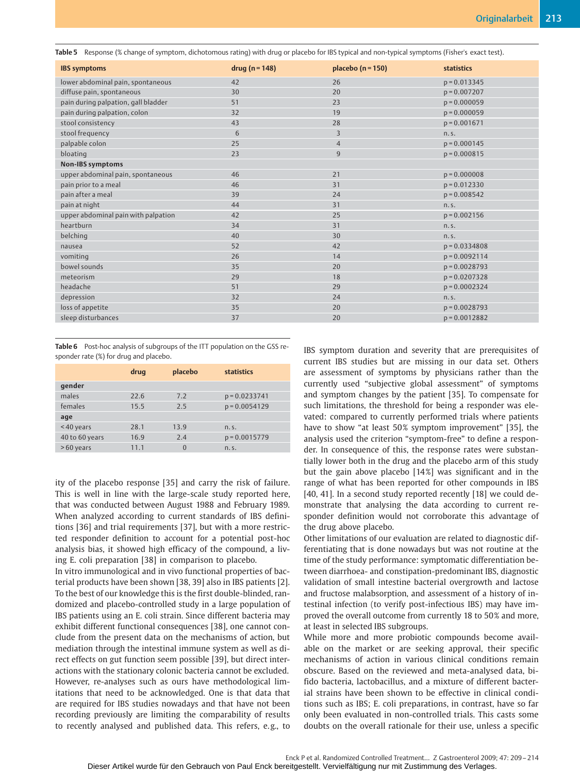**Table 5** Response (% change of symptom, dichotomous rating) with drug or placebo for IBS typical and non-typical symptoms (Fisher's exact test).

| <b>IBS symptoms</b>                 | $drug (n = 148)$ | placebo ( $n = 150$ ) | statistics      |
|-------------------------------------|------------------|-----------------------|-----------------|
| lower abdominal pain, spontaneous   | 42               | 26                    | $p = 0.013345$  |
| diffuse pain, spontaneous           | 30               | 20                    | $p = 0.007207$  |
| pain during palpation, gall bladder | 51               | 23                    | $p = 0.000059$  |
| pain during palpation, colon        | 32               | 19                    | $p = 0.000059$  |
| stool consistency                   | 43               | 28                    | $p = 0.001671$  |
| stool frequency                     | 6                | 3                     | n.s.            |
| palpable colon                      | 25               | $\overline{4}$        | $p = 0.000145$  |
| bloating                            | 23               | $\overline{9}$        | $p = 0.000815$  |
| <b>Non-IBS symptoms</b>             |                  |                       |                 |
| upper abdominal pain, spontaneous   | 46               | 21                    | $p = 0.000008$  |
| pain prior to a meal                | 46               | 31                    | $p = 0.012330$  |
| pain after a meal                   | 39               | 24                    | $p = 0.008542$  |
| pain at night                       | 44               | 31                    | n.S.            |
| upper abdominal pain with palpation | 42               | 25                    | $p = 0.002156$  |
| heartburn                           | 34               | 31                    | n.S.            |
| belching                            | 40               | 30                    | n.S.            |
| nausea                              | 52               | 42                    | $p = 0.0334808$ |
| vomiting                            | 26               | 14                    | $p = 0.0092114$ |
| bowel sounds                        | 35               | 20                    | $p = 0.0028793$ |
| meteorism                           | 29               | 18                    | $p = 0.0207328$ |
| headache                            | 51               | 29                    | $p = 0.0002324$ |
| depression                          | 32               | 24                    | n.s.            |
| loss of appetite                    | 35               | 20                    | $p = 0.0028793$ |
| sleep disturbances                  | 37               | 20                    | $p = 0.0012882$ |
|                                     |                  |                       |                 |

**Table 6** Post-hoc analysis of subgroups of the ITT population on the GSS responder rate (%) for drug and placebo.

|                | drug | placebo  | <b>statistics</b> |
|----------------|------|----------|-------------------|
| qender         |      |          |                   |
| males          | 22.6 | 7.2      | $p = 0.0233741$   |
| females        | 15.5 | 2.5      | $p = 0.0054129$   |
| age            |      |          |                   |
| <40 years      | 28.1 | 13.9     | n.S.              |
| 40 to 60 years | 16.9 | 2.4      | $p = 0.0015779$   |
| $>60$ years    | 11.1 | $\Omega$ | n.S.              |

ity of the placebo response [35] and carry the risk of failure. This is well in line with the large-scale study reported here, that was conducted between August 1988 and February 1989. When analyzed according to current standards of IBS definitions [36] and trial requirements [37], but with a more restricted responder definition to account for a potential post-hoc analysis bias, it showed high efficacy of the compound, a living E. coli preparation [38] in comparison to placebo.

In vitro immunological and in vivo functional properties of bacterial products have been shown [38, 39] also in IBS patients [2]. To the best of our knowledge this is the first double-blinded, randomized and placebo-controlled study in a large population of IBS patients using an E. coli strain. Since different bacteria may exhibit different functional consequences [38], one cannot conclude from the present data on the mechanisms of action, but mediation through the intestinal immune system as well as direct effects on gut function seem possible [39], but direct interactions with the stationary colonic bacteria cannot be excluded. However, re-analyses such as ours have methodological limitations that need to be acknowledged. One is that data that are required for IBS studies nowadays and that have not been recording previously are limiting the comparability of results to recently analysed and published data. This refers, e. g., to

IBS symptom duration and severity that are prerequisites of current IBS studies but are missing in our data set. Others are assessment of symptoms by physicians rather than the currently used "subjective global assessment" of symptoms and symptom changes by the patient [35]. To compensate for such limitations, the threshold for being a responder was elevated: compared to currently performed trials where patients have to show "at least 50% symptom improvement" [35], the analysis used the criterion "symptom-free" to define a responder. In consequence of this, the response rates were substantially lower both in the drug and the placebo arm of this study but the gain above placebo [14%] was significant and in the range of what has been reported for other compounds in IBS [40, 41]. In a second study reported recently [18] we could demonstrate that analysing the data according to current responder definition would not corroborate this advantage of the drug above placebo.

Other limitations of our evaluation are related to diagnostic differentiating that is done nowadays but was not routine at the time of the study performance: symptomatic differentiation between diarrhoea- and constipation-predominant IBS, diagnostic validation of small intestine bacterial overgrowth and lactose and fructose malabsorption, and assessment of a history of intestinal infection (to verify post-infectious IBS) may have improved the overall outcome from currently 18 to 50% and more, at least in selected IBS subgroups.

While more and more probiotic compounds become available on the market or are seeking approval, their specific mechanisms of action in various clinical conditions remain obscure. Based on the reviewed and meta-analysed data, bifido bacteria, lactobacillus, and a mixture of different bacterial strains have been shown to be effective in clinical conditions such as IBS; E. coli preparations, in contrast, have so far only been evaluated in non-controlled trials. This casts some doubts on the overall rationale for their use, unless a specific

Enck P et al. Randomized Controlled Treatment… Z Gastroenterol 2009; 47: 209– 214 Dieser Artikel wurde für den Gebrauch von Paul Enck bereitgestellt. Vervielfältigung nur mit Zustimmung des Verlages.